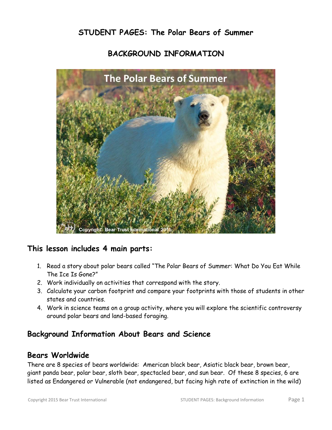# **STUDENT PAGES: The Polar Bears of Summer**

# **BACKGROUND INFORMATION**



# **This lesson includes 4 main parts:**

- 1. Read a story about polar bears called "The Polar Bears of Summer: What Do You Eat While The Ice Is Gone?"
- 2. Work individually on activities that correspond with the story.
- 3. Calculate your carbon footprint and compare your footprints with those of students in other states and countries.
- 4. Work in science teams on a group activity, where you will explore the scientific controversy around polar bears and land-based foraging.

# **Background Information About Bears and Science**

#### **Bears Worldwide**

There are 8 species of bears worldwide: American black bear, Asiatic black bear, brown bear, giant panda bear, polar bear, sloth bear, spectacled bear, and sun bear. Of these 8 species, 6 are listed as Endangered or Vulnerable (not endangered, but facing high rate of extinction in the wild)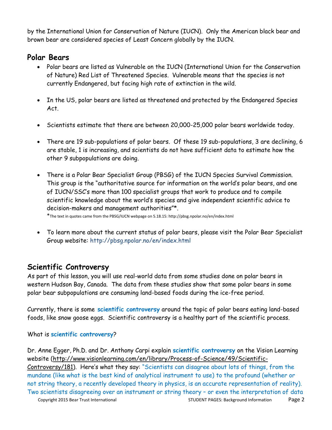by the International Union for Conservation of Nature (IUCN). Only the American black bear and brown bear are considered species of Least Concern globally by the IUCN.

### **Polar Bears**

- Polar bears are listed as Vulnerable on the IUCN (International Union for the Conservation of Nature) Red List of Threatened Species. Vulnerable means that the species is not currently Endangered, but facing high rate of extinction in the wild.
- In the US, polar bears are listed as threatened and protected by the Endangered Species Act.
- Scientists estimate that there are between 20,000-25,000 polar bears worldwide today.
- There are 19 sub-populations of polar bears. Of these 19 sub-populations, 3 are declining, 6 are stable, 1 is increasing, and scientists do not have sufficient data to estimate how the other 9 subpopulations are doing.
- There is a Polar Bear Specialist Group (PBSG) of the IUCN Species Survival Commission. This group is the "authoritative source for information on the world's polar bears, and one of IUCN/SSC's more than 100 specialist groups that work to produce and to compile scientific knowledge about the world's species and give independent scientific advice to decision-makers and management authorities"\*.

\*The text in quotes came from the PBSG/IUCN webpage on 5.18.15: http://pbsg.npolar.no/en/index.html

 To learn more about the current status of polar bears, please visit the Polar Bear Specialist Group website: http://pbsg.npolar.no/en/index.html

# **Scientific Controversy**

As part of this lesson, you will use real-world data from some studies done on polar bears in western Hudson Bay, Canada. The data from these studies show that some polar bears in some polar bear subpopulations are consuming land-based foods during the ice-free period.

Currently, there is some **scientific controversy** around the topic of polar bears eating land-based foods, like snow goose eggs. Scientific controversy is a healthy part of the scientific process.

#### What is **scientific controversy**?

Copyright 2015 Bear Trust International STUDENT PAGES: Background Information Page 2 Dr. Anne Egger, Ph.D. and Dr. Anthony Carpi explain **scientific controversy** on the Vision Learning website [\(http://www.visionlearning.com/en/library/Process-of-Science/49/Scientific-](http://www.visionlearning.com/en/library/Process-of-Science/49/Scientific-Controversy/181)[Controversy/181](http://www.visionlearning.com/en/library/Process-of-Science/49/Scientific-Controversy/181)). Here's what they say: "Scientists can disagree about lots of things, from the mundane (like what is the best kind of analytical instrument to use) to the profound (whether or not string [theory,](http://www.visionlearning.com/en/glossary/view/Theory/pop) a recently developed theory in physics, is an accurate representation of reality). Two scientists disagreeing over an instrument or string theory – or even the interpretation of [data](http://www.visionlearning.com/en/glossary/view/data/pop)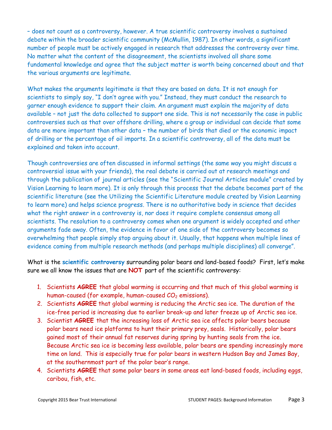– does not count as a controversy, however. A true [scientific controversy](http://www.visionlearning.com/en/glossary/view/Scientific+controversy/pop) involves a sustained debate within the broader scientific community [\(McMullin, 1987\)](http://www.visionlearning.com/en/library/Process-of-Science/49/Scientific-Controversy/181#refs). In other words, a significant number of people must be actively engaged in research that addresses the controversy over time. No matter what the content of the disagreement, the scientists involved all share some fundamental knowledge and agree that the subject matter is worth being concerned about and that the various arguments are legitimate.

What makes the arguments legitimate is that they are based on [data.](http://www.visionlearning.com/en/glossary/view/data/pop) It is not enough for scientists to simply say, "I don't agree with you." Instead, they must conduct the research to garner enough evidence to support their claim. An argument must explain the majority of data available – not just the data collected to support one side. This is not necessarily the case in public controversies such as that over offshore drilling, where a group or individual can decide that some data are more important than other data – the number of birds that died or the economic impact of drilling or the percentage of oil imports. In a [scientific controversy,](http://www.visionlearning.com/en/glossary/view/Scientific+controversy/pop) all of the data must be explained and taken into account.

Though controversies are often discussed in informal settings (the same way you might discuss a controversial issue with your friends), the real debate is carried out at research meetings and through the publication of journal articles (see the "[Scientific Journal Articles](http://www.visionlearning.com/library/module_viewer.php?mid=158&l=) module" created by Vision Learning to learn more). It is only through this process that the debate becomes part of the scientific literature (see the [Utilizing the Scientific Literature](http://www.visionlearning.com/library/module_viewer.php?mid=173&l=) module created by Vision Learning to learn more) and helps science progress. There is no authoritative body in science that decides what the right answer in a controversy is, nor does it require complete consensus among all scientists. The resolution to a controversy comes when one argument is widely accepted and other arguments fade away. Often, the evidence in favor of one side of the controversy becomes so overwhelming that people simply stop arguing about it. Usually, that happens when multiple lines of evidence coming from multiple research methods (and perhaps multiple disciplines) all converge".

What is the **scientific controversy** surrounding polar bears and land-based foods? First, let's make sure we all know the issues that are **NOT** part of the scientific controversy:

- 1. Scientists **AGREE** that global warming is occurring and that much of this global warming is human-caused (for example, human-caused  $CO<sub>2</sub>$  emissions).
- 2. Scientists **AGREE** that global warming is reducing the Arctic sea ice. The duration of the ice-free period is increasing due to earlier break-up and later freeze up of Arctic sea ice.
- 3. Scientist **AGREE** that the increasing loss of Arctic sea ice affects polar bears because polar bears need ice platforms to hunt their primary prey, seals. Historically, polar bears gained most of their annual fat reserves during spring by hunting seals from the ice. Because Arctic sea ice is becoming less available, polar bears are spending increasingly more time on land. This is especially true for polar bears in western Hudson Bay and James Bay, at the southernmost part of the polar bear's range.
- 4. Scientists **AGREE** that some polar bears in some areas eat land-based foods, including eggs, caribou, fish, etc.